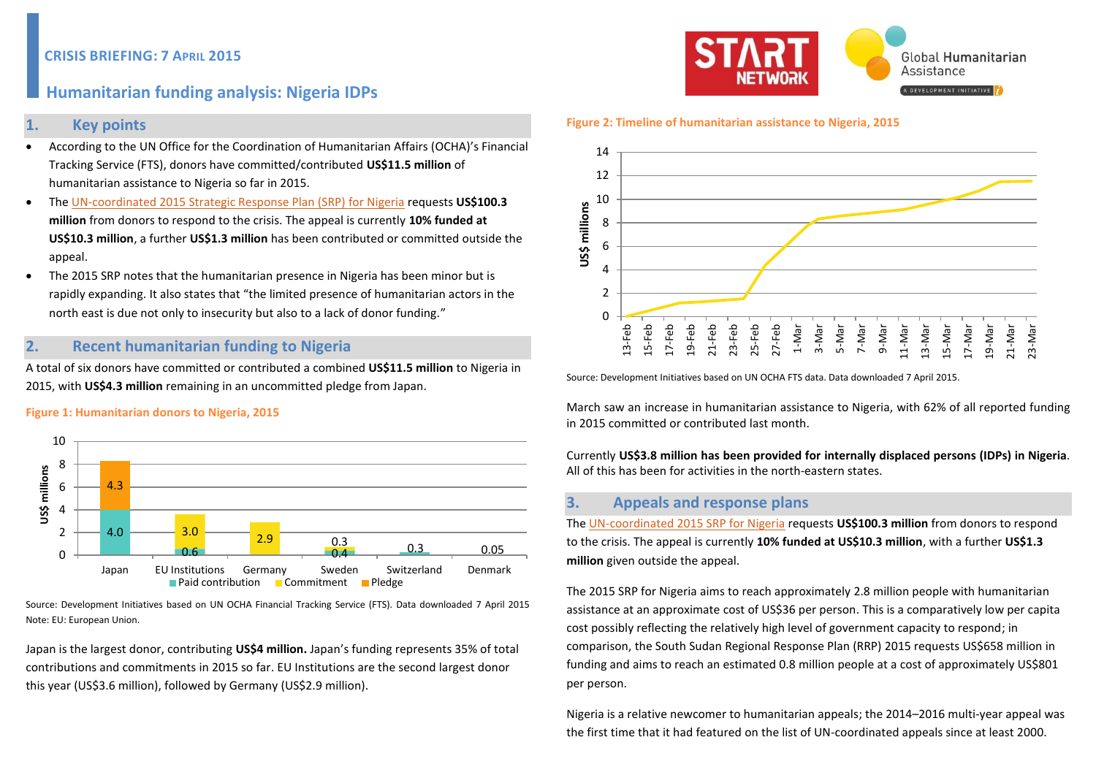# **Humanitarian funding analysis: Nigeria IDPs**

### **1. Key points**

- According to the UN Office for the Coordination of Humanitarian Affairs (OCHA)'s Financial Tracking Service (FTS), donors have committed/contributed **US\$11.5 million** of humanitarian assistance to Nigeria so far in 2015.
- The [UN-coordinated 2015 Strategic Response Plan \(SRP\)](https://www.humanitarianresponse.info/system/files/documents/files/NGA_SRP_150323_EN.pdf) for Nigeria requests **US\$100.3 million** from donors to respond to the crisis. The appeal is currently **10% funded at US\$10.3 million**, a further **US\$1.3 million** has been contributed or committed outside the appeal.
- The 2015 SRP notes that the humanitarian presence in Nigeria has been minor but is rapidly expanding. It also states that "the limited presence of humanitarian actors in the north east is due not only to insecurity but also to a lack of donor funding."

# **2. Recent humanitarian funding to Nigeria**

A total of six donors have committed or contributed a combined **US\$11.5 million** to Nigeria in 2015, with **US\$4.3 million** remaining in an uncommitted pledge from Japan.

#### **Figure 1: Humanitarian donors to Nigeria, 2015**



Source: Development Initiatives based on UN OCHA Financial Tracking Service (FTS). Data downloaded 7 April 2015 Note: EU: European Union.

Japan is the largest donor, contributing **US\$4 million.** Japan's funding represents 35% of total contributions and commitments in 2015 so far. EU Institutions are the second largest donor this year (US\$3.6 million), followed by Germany (US\$2.9 million).



#### **Figure 2: Timeline of humanitarian assistance to Nigeria, 2015**



Source: Development Initiatives based on UN OCHA FTS data. Data downloaded 7 April 2015.

March saw an increase in humanitarian assistance to Nigeria, with 62% of all reported funding in 2015 committed or contributed last month.

Currently **US\$3.8 million has been provided for internally displaced persons (IDPs) in Nigeria**. All of this has been for activities in the north-eastern states.

## **3. Appeals and response plans**

Th[e UN-coordinated 2015 SRP for Nigeria](https://www.humanitarianresponse.info/system/files/documents/files/NGA_SRP_150323_EN.pdf) requests **US\$100.3 million** from donors to respond to the crisis. The appeal is currently **10% funded at US\$10.3 million**, with a further **US\$1.3 million** given outside the appeal.

The 2015 SRP for Nigeria aims to reach approximately 2.8 million people with humanitarian assistance at an approximate cost of US\$36 per person. This is a comparatively low per capita cost possibly reflecting the relatively high level of government capacity to respond; in comparison, the South Sudan Regional Response Plan (RRP) 2015 requests US\$658 million in funding and aims to reach an estimated 0.8 million people at a cost of approximately US\$801 per person.

Nigeria is a relative newcomer to humanitarian appeals; the 2014–2016 multi-year appeal was the first time that it had featured on the list of UN-coordinated appeals since at least 2000.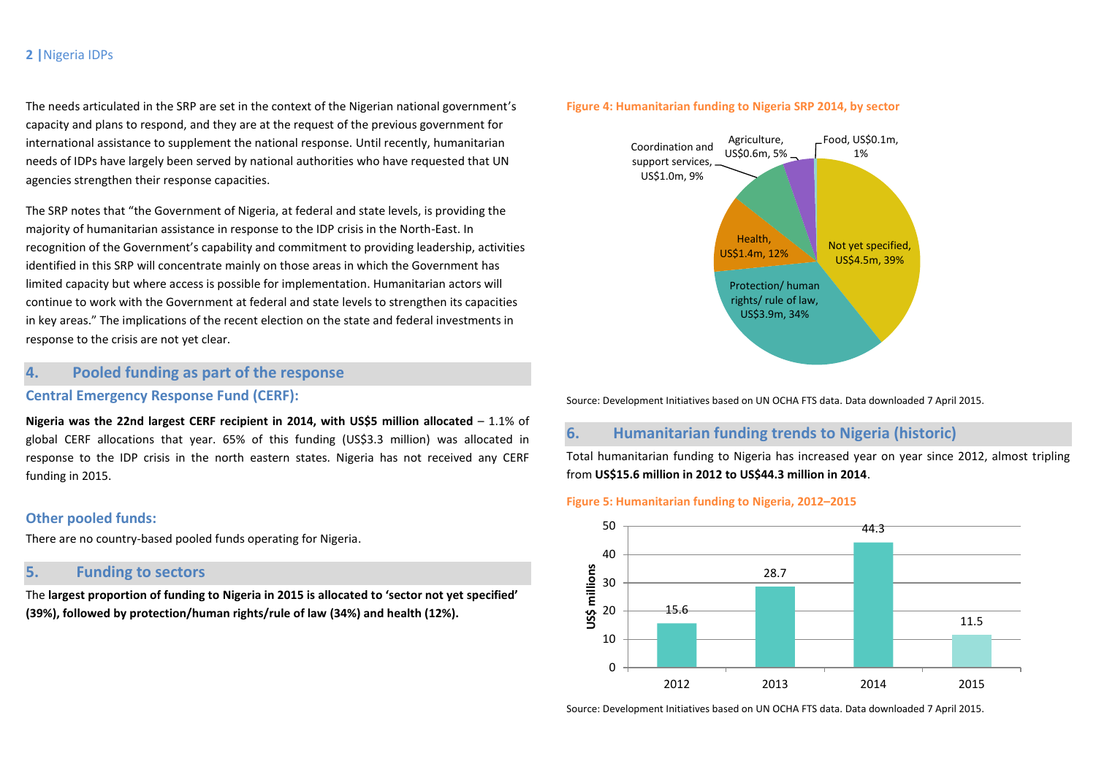### **2 |**Nigeria IDPs

The needs articulated in the SRP are set in the context of the Nigerian national government's capacity and plans to respond, and they are at the request of the previous government for international assistance to supplement the national response. Until recently, humanitarian needs of IDPs have largely been served by national authorities who have requested that UN agencies strengthen their response capacities.

The SRP notes that "the Government of Nigeria, at federal and state levels, is providing the majority of humanitarian assistance in response to the IDP crisis in the North-East. In recognition of the Government's capability and commitment to providing leadership, activities identified in this SRP will concentrate mainly on those areas in which the Government has limited capacity but where access is possible for implementation. Humanitarian actors will continue to work with the Government at federal and state levels to strengthen its capacities in key areas." The implications of the recent election on the state and federal investments in response to the crisis are not yet clear.

## **4. Pooled funding as part of the response**

#### **Central Emergency Response Fund (CERF):**

**Nigeria was the 22nd largest CERF recipient in 2014, with US\$5 million allocated** – 1.1% of global CERF allocations that year. 65% of this funding (US\$3.3 million) was allocated in response to the IDP crisis in the north eastern states. Nigeria has not received any CERF funding in 2015.

### **Other pooled funds:**

There are no country-based pooled funds operating for Nigeria.

# **5. Funding to sectors**

The **largest proportion of funding to Nigeria in 2015 is allocated to 'sector not yet specified' (39%), followed by protection/human rights/rule of law (34%) and health (12%).**

### **Figure 4: Humanitarian funding to Nigeria SRP 2014, by sector**



Source: Development Initiatives based on UN OCHA FTS data. Data downloaded 7 April 2015.

## **6. Humanitarian funding trends to Nigeria (historic)**

Total humanitarian funding to Nigeria has increased year on year since 2012, almost tripling from **US\$15.6 million in 2012 to US\$44.3 million in 2014**.

#### **Figure 5: Humanitarian funding to Nigeria, 2012–2015**



Source: Development Initiatives based on UN OCHA FTS data. Data downloaded 7 April 2015.